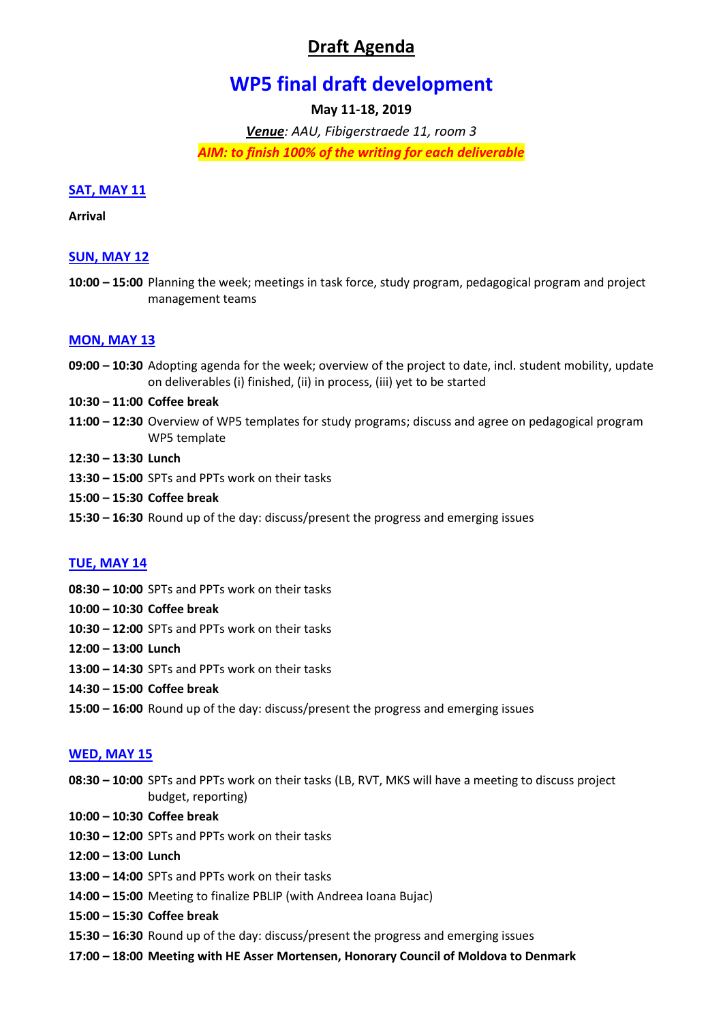# **Draft Agenda**

# **WP5 final draft development**

# **May 11-18, 2019**

*Venue: AAU, Fibigerstraede 11, room 3 AIM: to finish 100% of the writing for each deliverable*

## **SAT, MAY 11**

#### **Arrival**

# **SUN, MAY 12**

**10:00 – 15:00** Planning the week; meetings in task force, study program, pedagogical program and project management teams

#### **MON, MAY 13**

- **09:00 – 10:30** Adopting agenda for the week; overview of the project to date, incl. student mobility, update on deliverables (i) finished, (ii) in process, (iii) yet to be started
- **10:30 – 11:00 Coffee break**
- **11:00 – 12:30** Overview of WP5 templates for study programs; discuss and agree on pedagogical program WP5 template
- **12:30 – 13:30 Lunch**
- **13:30 – 15:00** SPTs and PPTs work on their tasks
- **15:00 – 15:30 Coffee break**
- **15:30 – 16:30** Round up of the day: discuss/present the progress and emerging issues

## **TUE, MAY 14**

- **08:30 – 10:00** SPTs and PPTs work on their tasks
- **10:00 – 10:30 Coffee break**
- **10:30 – 12:00** SPTs and PPTs work on their tasks
- **12:00 – 13:00 Lunch**
- **13:00 – 14:30** SPTs and PPTs work on their tasks
- **14:30 – 15:00 Coffee break**
- **15:00 – 16:00** Round up of the day: discuss/present the progress and emerging issues

## **WED, MAY 15**

- **08:30 – 10:00** SPTs and PPTs work on their tasks (LB, RVT, MKS will have a meeting to discuss project budget, reporting)
- **10:00 – 10:30 Coffee break**
- **10:30 – 12:00** SPTs and PPTs work on their tasks
- **12:00 – 13:00 Lunch**
- **13:00 – 14:00** SPTs and PPTs work on their tasks
- **14:00 – 15:00** Meeting to finalize PBLIP (with Andreea Ioana Bujac)
- **15:00 – 15:30 Coffee break**
- **15:30 – 16:30** Round up of the day: discuss/present the progress and emerging issues
- **17:00 – 18:00 Meeting with HE Asser Mortensen, Honorary Council of Moldova to Denmark**